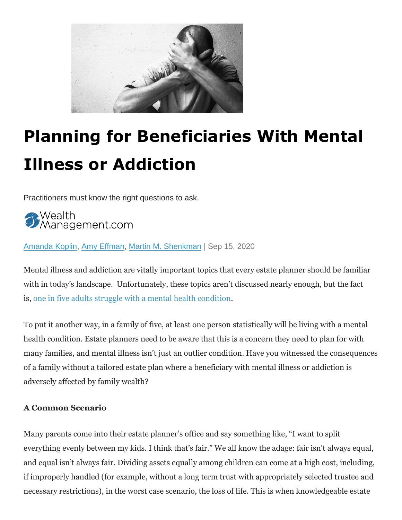

# **Planning for Beneficiaries With Mental Illness or Addiction**

Practitioners must know the right questions to ask.

:Wealth<br>Management.com

[Amanda Koplin,](https://www.wealthmanagement.com/author/Amanda-Koplin) [Amy Effman,](https://www.wealthmanagement.com/author/Amy-Effman) [Martin M. Shenkman](https://www.wealthmanagement.com/author/Martin-M.%20Shenkman) | Sep 15, 2020

Mental illness and addiction are vitally important topics that every estate planner should be familiar with in today's landscape. Unfortunately, these topics aren't discussed nearly enough, but the fact is, [one in five adults struggle with a mental health condition.](https://www.nami.org/mhstats)

To put it another way, in a family of five, at least one person statistically will be living with a mental health condition. Estate planners need to be aware that this is a concern they need to plan for with many families, and mental illness isn't just an outlier condition. Have you witnessed the consequences of a family without a tailored estate plan where a beneficiary with mental illness or addiction is adversely affected by family wealth?

### **A Common Scenario**

Many parents come into their estate planner's office and say something like, "I want to split everything evenly between my kids. I think that's fair." We all know the adage: fair isn't always equal, and equal isn't always fair. Dividing assets equally among children can come at a high cost, including, if improperly handled (for example, without a long term trust with appropriately selected trustee and necessary restrictions), in the worst case scenario, the loss of life. This is when knowledgeable estate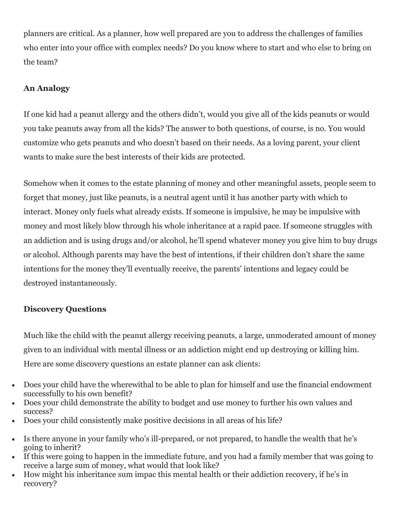planners are critical. As a planner, how well prepared are you to address the challenges of families who enter into your office with complex needs? Do you know where to start and who else to bring on the team?

## **An Analogy**

If one kid had a peanut allergy and the others didn't, would you give all of the kids peanuts or would you take peanuts away from all the kids? The answer to both questions, of course, is no. You would customize who gets peanuts and who doesn't based on their needs. As a loving parent, your client wants to make sure the best interests of their kids are protected.

Somehow when it comes to the estate planning of money and other meaningful assets, people seem to forget that money, just like peanuts, is a neutral agent until it has another party with which to interact. Money only fuels what already exists. If someone is impulsive, he may be impulsive with money and most likely blow through his whole inheritance at a rapid pace. If someone struggles with an addiction and is using drugs and/or alcohol, he'll spend whatever money you give him to buy drugs or alcohol. Although parents may have the best of intentions, if their children don't share the same intentions for the money they'll eventually receive, the parents' intentions and legacy could be destroyed instantaneously.

### **Discovery Questions**

Much like the child with the peanut allergy receiving peanuts, a large, unmoderated amount of money given to an individual with mental illness or an addiction might end up destroying or killing him. Here are some discovery questions an estate planner can ask clients:

- Does your child have the wherewithal to be able to plan for himself and use the financial endowment successfully to his own benefit?
- Does your child demonstrate the ability to budget and use money to further his own values and success?
- Does your child consistently make positive decisions in all areas of his life?
- Is there anyone in your family who's ill-prepared, or not prepared, to handle the wealth that he's going to inherit?
- If this were going to happen in the immediate future, and you had a family member that was going to receive a large sum of money, what would that look like?
- How might his inheritance sum impac this mental health or their addiction recovery, if he's in recovery?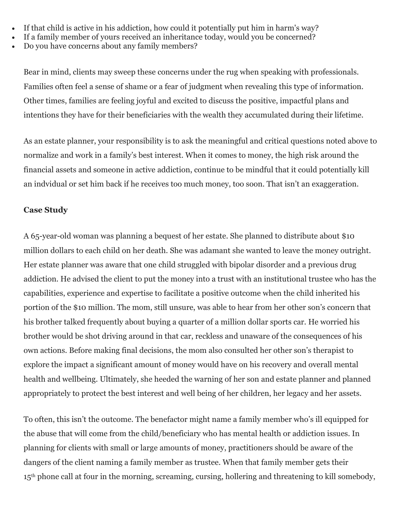- If that child is active in his addiction, how could it potentially put him in harm's way?
- If a family member of yours received an inheritance today, would you be concerned?
- Do you have concerns about any family members?

Bear in mind, clients may sweep these concerns under the rug when speaking with professionals. Families often feel a sense of shame or a fear of judgment when revealing this type of information. Other times, families are feeling joyful and excited to discuss the positive, impactful plans and intentions they have for their beneficiaries with the wealth they accumulated during their lifetime.

As an estate planner, your responsibility is to ask the meaningful and critical questions noted above to normalize and work in a family's best interest. When it comes to money, the high risk around the financial assets and someone in active addiction, continue to be mindful that it could potentially kill an indvidual or set him back if he receives too much money, too soon. That isn't an exaggeration.

### **Case Study**

A 65-year-old woman was planning a bequest of her estate. She planned to distribute about \$10 million dollars to each child on her death. She was adamant she wanted to leave the money outright. Her estate planner was aware that one child struggled with bipolar disorder and a previous drug addiction. He advised the client to put the money into a trust with an institutional trustee who has the capabilities, experience and expertise to facilitate a positive outcome when the child inherited his portion of the \$10 million. The mom, still unsure, was able to hear from her other son's concern that his brother talked frequently about buying a quarter of a million dollar sports car. He worried his brother would be shot driving around in that car, reckless and unaware of the consequences of his own actions. Before making final decisions, the mom also consulted her other son's therapist to explore the impact a significant amount of money would have on his recovery and overall mental health and wellbeing. Ultimately, she heeded the warning of her son and estate planner and planned appropriately to protect the best interest and well being of her children, her legacy and her assets.

To often, this isn't the outcome. The benefactor might name a family member who's ill equipped for the abuse that will come from the child/beneficiary who has mental health or addiction issues. In planning for clients with small or large amounts of money, practitioners should be aware of the dangers of the client naming a family member as trustee. When that family member gets their 15<sup>th</sup> phone call at four in the morning, screaming, cursing, hollering and threatening to kill somebody,